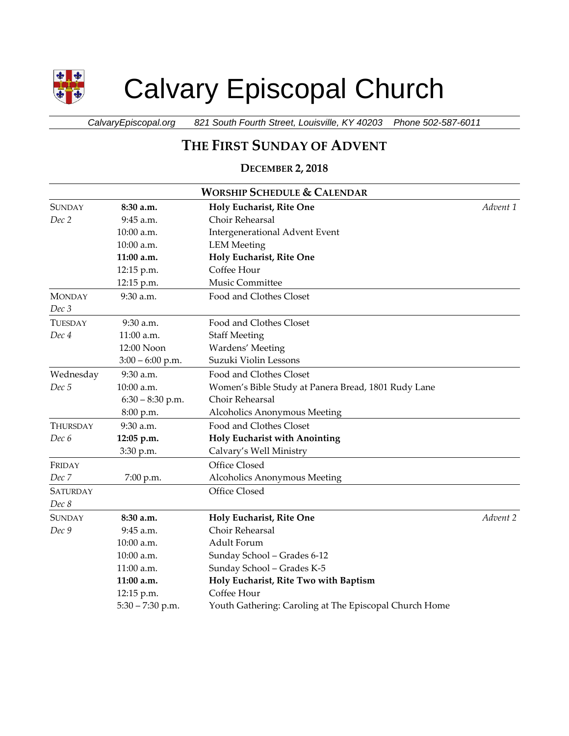

# Calvary Episcopal Church

*CalvaryEpiscopal.org 821 South Fourth Street, Louisville, KY 40203 Phone 502-587-6011*

# **THE FIRST SUNDAY OF ADVENT**

## **DECEMBER 2, 2018**

| <b>WORSHIP SCHEDULE &amp; CALENDAR</b> |                    |                                                        |          |  |
|----------------------------------------|--------------------|--------------------------------------------------------|----------|--|
| <b>SUNDAY</b>                          | 8:30 a.m.          | Holy Eucharist, Rite One                               | Advent 1 |  |
| Dec 2                                  | 9:45 a.m.          | Choir Rehearsal                                        |          |  |
|                                        | 10:00 a.m.         | <b>Intergenerational Advent Event</b>                  |          |  |
|                                        | 10:00 a.m.         | <b>LEM</b> Meeting                                     |          |  |
|                                        | 11:00 a.m.         | Holy Eucharist, Rite One                               |          |  |
|                                        | 12:15 p.m.         | Coffee Hour                                            |          |  |
|                                        | 12:15 p.m.         | Music Committee                                        |          |  |
| <b>MONDAY</b>                          | 9:30 a.m.          | Food and Clothes Closet                                |          |  |
| Dec 3                                  |                    |                                                        |          |  |
| <b>TUESDAY</b>                         | $9:30$ a.m.        | Food and Clothes Closet                                |          |  |
| Dec 4                                  | 11:00 a.m.         | <b>Staff Meeting</b>                                   |          |  |
|                                        | 12:00 Noon         | Wardens' Meeting                                       |          |  |
|                                        | $3:00 - 6:00$ p.m. | Suzuki Violin Lessons                                  |          |  |
| Wednesday                              | 9:30 a.m.          | Food and Clothes Closet                                |          |  |
| Dec 5                                  | 10:00 a.m.         | Women's Bible Study at Panera Bread, 1801 Rudy Lane    |          |  |
|                                        | $6:30 - 8:30$ p.m. | Choir Rehearsal                                        |          |  |
|                                        | 8:00 p.m.          | Alcoholics Anonymous Meeting                           |          |  |
| <b>THURSDAY</b>                        | $9:30$ a.m.        | Food and Clothes Closet                                |          |  |
| Dec 6                                  | 12:05 p.m.         | <b>Holy Eucharist with Anointing</b>                   |          |  |
|                                        | 3:30 p.m.          | Calvary's Well Ministry                                |          |  |
| FRIDAY                                 |                    | Office Closed                                          |          |  |
| Dec 7                                  | 7:00 p.m.          | Alcoholics Anonymous Meeting                           |          |  |
| <b>SATURDAY</b>                        |                    | Office Closed                                          |          |  |
| Dec 8                                  |                    |                                                        |          |  |
| <b>SUNDAY</b>                          | 8:30 a.m.          | Holy Eucharist, Rite One                               | Advent 2 |  |
| Dec 9                                  | 9:45 a.m.          | Choir Rehearsal                                        |          |  |
|                                        | 10:00 a.m.         | Adult Forum                                            |          |  |
|                                        | 10:00 a.m.         | Sunday School - Grades 6-12                            |          |  |
|                                        | 11:00 a.m.         | Sunday School - Grades K-5                             |          |  |
|                                        | 11:00 a.m.         | Holy Eucharist, Rite Two with Baptism                  |          |  |
|                                        | 12:15 p.m.         | Coffee Hour                                            |          |  |
|                                        | $5:30 - 7:30$ p.m. | Youth Gathering: Caroling at The Episcopal Church Home |          |  |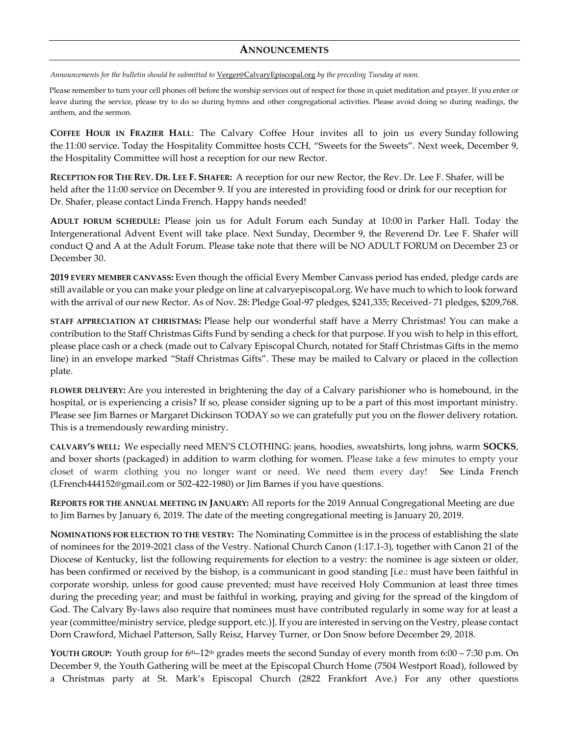### **ANNOUNCEMENTS**

*Announcements for the bulletin should be submitted to* [Verger@CalvaryEpiscopal.org](mailto:Verger@CalvaryEpiscopal.org) *by the preceding Tuesday at noon.* 

Please remember to turn your cell phones off before the worship services out of respect for those in quiet meditation and prayer. If you enter or leave during the service, please try to do so during hymns and other congregational activities. Please avoid doing so during readings, the anthem, and the sermon.

**COFFEE HOUR IN FRAZIER HALL**: The Calvary Coffee Hour invites all to join us every Sunday following the 11:00 service. Today the Hospitality Committee hosts CCH, "Sweets for the Sweets". Next week, December 9, the Hospitality Committee will host a reception for our new Rector.

**RECEPTION FOR THE REV. DR. LEE F. SHAFER:** A reception for our new Rector, the Rev. Dr. Lee F. Shafer, will be held after the 11:00 service on December 9. If you are interested in providing food or drink for our reception for Dr. Shafer, please contact Linda French. Happy hands needed!

**ADULT FORUM SCHEDULE:** Please join us for Adult Forum each Sunday at 10:00 in Parker Hall. Today the Intergenerational Advent Event will take place. Next Sunday, December 9, the Reverend Dr. Lee F. Shafer will conduct Q and A at the Adult Forum. Please take note that there will be NO ADULT FORUM on December 23 or December 30.

**2019 EVERY MEMBER CANVASS:** Even though the official Every Member Canvass period has ended, pledge cards are still available or you can make your pledge on line at calvaryepiscopal.org. We have much to which to look forward with the arrival of our new Rector. As of Nov. 28: Pledge Goal-97 pledges, \$241,335; Received- 71 pledges, \$209,768.

**STAFF APPRECIATION AT CHRISTMAS:** Please help our wonderful staff have a Merry Christmas! You can make a contribution to the Staff Christmas Gifts Fund by sending a check for that purpose. If you wish to help in this effort, please place cash or a check (made out to Calvary Episcopal Church, notated for Staff Christmas Gifts in the memo line) in an envelope marked "Staff Christmas Gifts". These may be mailed to Calvary or placed in the collection plate.

**FLOWER DELIVERY:** Are you interested in brightening the day of a Calvary parishioner who is homebound, in the hospital, or is experiencing a crisis? If so, please consider signing up to be a part of this most important ministry. Please see Jim Barnes or Margaret Dickinson TODAY so we can gratefully put you on the flower delivery rotation. This is a tremendously rewarding ministry.

**CALVARY'S WELL:** We especially need MEN'S CLOTHING: jeans, hoodies, sweatshirts, long johns, warm **SOCKS**, and boxer shorts (packaged) in addition to warm clothing for women. Please take a few minutes to empty your closet of warm clothing you no longer want or need. We need them every day! See Linda French [\(LFrench444152@gmail.com](mailto:LFrench444152@gmail.com) or 502-422-1980) or Jim Barnes if you have questions.

**REPORTS FOR THE ANNUAL MEETING IN JANUARY:** All reports for the 2019 Annual Congregational Meeting are due to Jim Barnes by January 6, 2019. The date of the meeting congregational meeting is January 20, 2019.

**NOMINATIONS FOR ELECTION TO THE VESTRY:** The Nominating Committee is in the process of establishing the slate of nominees for the 2019-2021 class of the Vestry. National Church Canon (1:17.1-3), together with Canon 21 of the Diocese of Kentucky, list the following requirements for election to a vestry: the nominee is age sixteen or older, has been confirmed or received by the bishop, is a communicant in good standing [i.e.: must have been faithful in corporate worship, unless for good cause prevented; must have received Holy Communion at least three times during the preceding year; and must be faithful in working, praying and giving for the spread of the kingdom of God. The Calvary By-laws also require that nominees must have contributed regularly in some way for at least a year (committee/ministry service, pledge support, etc.)]. If you are interested in serving on the Vestry, please contact Dorn Crawford, Michael Patterson, Sally Reisz, Harvey Turner, or Don Snow before December 29, 2018.

**YOUTH GROUP:** Youth group for 6th–12th grades meets the second Sunday of every month from 6:00 – 7:30 p.m. On December 9, the Youth Gathering will be meet at the Episcopal Church Home (7504 Westport Road), followed by a Christmas party at St. Mark's Episcopal Church (2822 Frankfort Ave.) For any other questions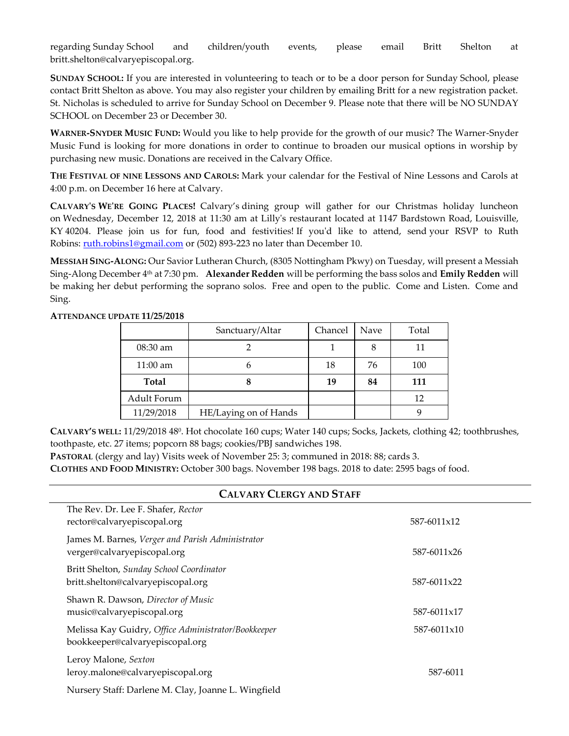regarding Sunday School and children/youth events, please email Britt Shelton at [britt.shelton@calvaryepiscopal.org.](mailto:britt.shelton@calvaryepiscopal.org)

**SUNDAY SCHOOL:** If you are interested in volunteering to teach or to be a door person for Sunday School, please contact Britt Shelton as above. You may also register your children by emailing Britt for a new registration packet. St. Nicholas is scheduled to arrive for Sunday School on December 9. Please note that there will be NO SUNDAY SCHOOL on December 23 or December 30.

**WARNER-SNYDER MUSIC FUND:** Would you like to help provide for the growth of our music? The Warner-Snyder Music Fund is looking for more donations in order to continue to broaden our musical options in worship by purchasing new music. Donations are received in the Calvary Office.

**THE FESTIVAL OF NINE LESSONS AND CAROLS:** Mark your calendar for the Festival of Nine Lessons and Carols at 4:00 p.m. on December 16 here at Calvary.

**CALVARY'S WE'RE GOING PLACES!** Calvary's dining group will gather for our Christmas holiday luncheon on Wednesday, December 12, 2018 at 11:30 am at Lilly's restaurant located at 1147 Bardstown Road, Louisville, KY 40204. Please join us for fun, food and festivities! If you'd like to attend, send your RSVP to Ruth Robins: [ruth.robins1@gmail.com](mailto:ruth.robins1@gmail.com) or (502) 893-223 no later than December 10.

**MESSIAH SING-ALONG:** Our Savior Lutheran Church, (8305 Nottingham Pkwy) on Tuesday, will present a Messiah Sing-Along December 4th at 7:30 pm. **Alexander Redden** will be performing the bass solos and **Emily Redden** will be making her debut performing the soprano solos. Free and open to the public. Come and Listen. Come and Sing.

#### **ATTENDANCE UPDATE 11/25/2018**

|              | Sanctuary/Altar       | Chancel | Nave | Total |
|--------------|-----------------------|---------|------|-------|
| 08:30 am     |                       |         |      | 11    |
| $11:00$ am   |                       | 18      | 76   | 100   |
| <b>Total</b> |                       | 19      | 84   | 111   |
| Adult Forum  |                       |         |      | 12    |
| 11/29/2018   | HE/Laying on of Hands |         |      |       |

**CALVARY'S WELL:** 11/29/2018 48<sup>0</sup>. Hot chocolate 160 cups; Water 140 cups; Socks, Jackets, clothing 42; toothbrushes, toothpaste, etc. 27 items; popcorn 88 bags; cookies/PBJ sandwiches 198.

**PASTORAL** (clergy and lay) Visits week of November 25: 3; communed in 2018: 88; cards 3.

**CLOTHES AND FOOD MINISTRY:** October 300 bags. November 198 bags. 2018 to date: 2595 bags of food.

| <b>CALVARY CLERGY AND STAFF</b>                                                        |             |  |  |  |  |
|----------------------------------------------------------------------------------------|-------------|--|--|--|--|
| The Rev. Dr. Lee F. Shafer, Rector<br>rector@calvaryepiscopal.org                      | 587-6011x12 |  |  |  |  |
| James M. Barnes, Verger and Parish Administrator<br>verger@calvaryepiscopal.org        | 587-6011x26 |  |  |  |  |
| Britt Shelton, Sunday School Coordinator<br>britt.shelton@calvaryepiscopal.org         | 587-6011x22 |  |  |  |  |
| Shawn R. Dawson, Director of Music<br>music@calvaryepiscopal.org                       | 587-6011x17 |  |  |  |  |
| Melissa Kay Guidry, Office Administrator/Bookkeeper<br>bookkeeper@calvaryepiscopal.org | 587-6011x10 |  |  |  |  |
| Leroy Malone, Sexton<br>leroy.malone@calvaryepiscopal.org                              | 587-6011    |  |  |  |  |
| Nursery Staff: Darlene M. Clay, Joanne L. Wingfield                                    |             |  |  |  |  |